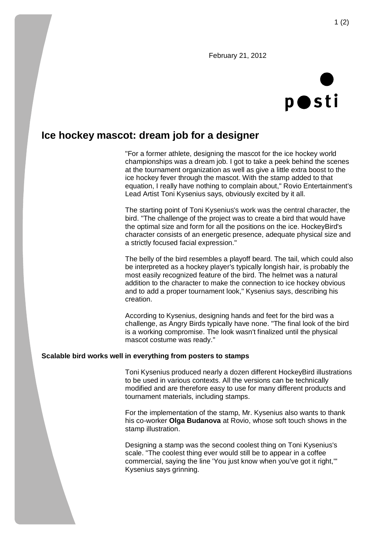February 21, 2012



## **Ice hockey mascot: dream job for a designer**

"For a former athlete, designing the mascot for the ice hockey world championships was a dream job. I got to take a peek behind the scenes at the tournament organization as well as give a little extra boost to the ice hockey fever through the mascot. With the stamp added to that equation, I really have nothing to complain about," Rovio Entertainment's Lead Artist Toni Kysenius says, obviously excited by it all.

The starting point of Toni Kysenius's work was the central character, the bird. "The challenge of the project was to create a bird that would have the optimal size and form for all the positions on the ice. HockeyBird's character consists of an energetic presence, adequate physical size and a strictly focused facial expression."

The belly of the bird resembles a playoff beard. The tail, which could also be interpreted as a hockey player's typically longish hair, is probably the most easily recognized feature of the bird. The helmet was a natural addition to the character to make the connection to ice hockey obvious and to add a proper tournament look," Kysenius says, describing his creation.

According to Kysenius, designing hands and feet for the bird was a challenge, as Angry Birds typically have none. "The final look of the bird is a working compromise. The look wasn't finalized until the physical mascot costume was ready."

## **Scalable bird works well in everything from posters to stamps**

Toni Kysenius produced nearly a dozen different HockeyBird illustrations to be used in various contexts. All the versions can be technically modified and are therefore easy to use for many different products and tournament materials, including stamps.

For the implementation of the stamp, Mr. Kysenius also wants to thank his co-worker **Olga Budanova** at Rovio, whose soft touch shows in the stamp illustration.

Designing a stamp was the second coolest thing on Toni Kysenius's scale. "The coolest thing ever would still be to appear in a coffee commercial, saying the line 'You just know when you've got it right,'" Kysenius says grinning.